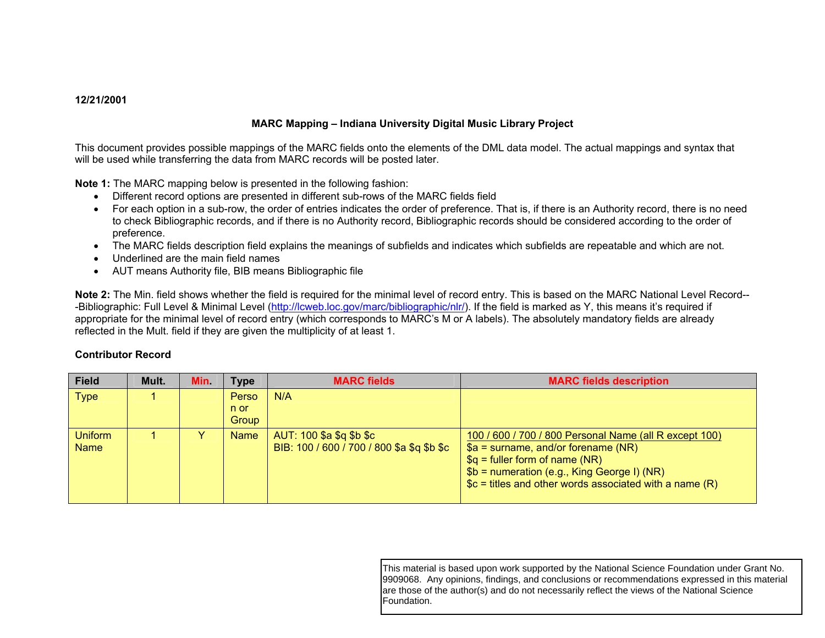## **12/21/2001**

## **MARC Mapping – Indiana University Digital Music Library Project**

This document provides possible mappings of the MARC fields onto the elements of the DML data model. The actual mappings and syntax that will be used while transferring the data from MARC records will be posted later.

**Note 1:** The MARC mapping below is presented in the following fashion:

- Different record options are presented in different sub-rows of the MARC fields field
- For each option in a sub-row, the order of entries indicates the order of preference. That is, if there is an Authority record, there is no need to check Bibliographic records, and if there is no Authority record, Bibliographic records should be considered according to the order of preference.
- The MARC fields description field explains the meanings of subfields and indicates which subfields are repeatable and which are not.
- Underlined are the main field names
- AUT means Authority file, BIB means Bibliographic file

**Note 2:** The Min. field shows whether the field is required for the minimal level of record entry. This is based on the MARC National Level Record- -Bibliographic: Full Level & Minimal Level (<http://lcweb.loc.gov/marc/bibliographic/nlr/>). If the field is marked as Y, this means it's required if appropriate for the minimal level of record entry (which corresponds to MARC's M or A labels). The absolutely mandatory fields are already reflected in the Mult. field if they are given the multiplicity of at least 1.

### **Contributor Record**

| <b>Field</b>                  | Mult. | Min. | <b>Type</b> | <b>MARC fields</b>                                                     | <b>MARC fields description</b>                                                                                                                                                                                                                   |
|-------------------------------|-------|------|-------------|------------------------------------------------------------------------|--------------------------------------------------------------------------------------------------------------------------------------------------------------------------------------------------------------------------------------------------|
| <b>Type</b>                   |       |      | Perso       | N/A                                                                    |                                                                                                                                                                                                                                                  |
|                               |       |      | n or        |                                                                        |                                                                                                                                                                                                                                                  |
|                               |       |      | Group       |                                                                        |                                                                                                                                                                                                                                                  |
| <b>Uniform</b><br><b>Name</b> |       |      | <b>Name</b> | AUT: 100 \$a \$q \$b \$c<br>BIB: 100 / 600 / 700 / 800 \$a \$q \$b \$c | 100 / 600 / 700 / 800 Personal Name (all R except 100)<br>$$a =$ surname, and/or forename (NR)<br>$\$q =$ fuller form of name (NR)<br>$$b =$ numeration (e.g., King George I) (NR)<br>$\csc$ = titles and other words associated with a name (R) |

This material is based upon work supported by the National Science Foundation under Grant No. 9909068. Any opinions, findings, and conclusions or recommendations expressed in this material are those of the author(s) and do not necessarily reflect the views of the National Science Foundation.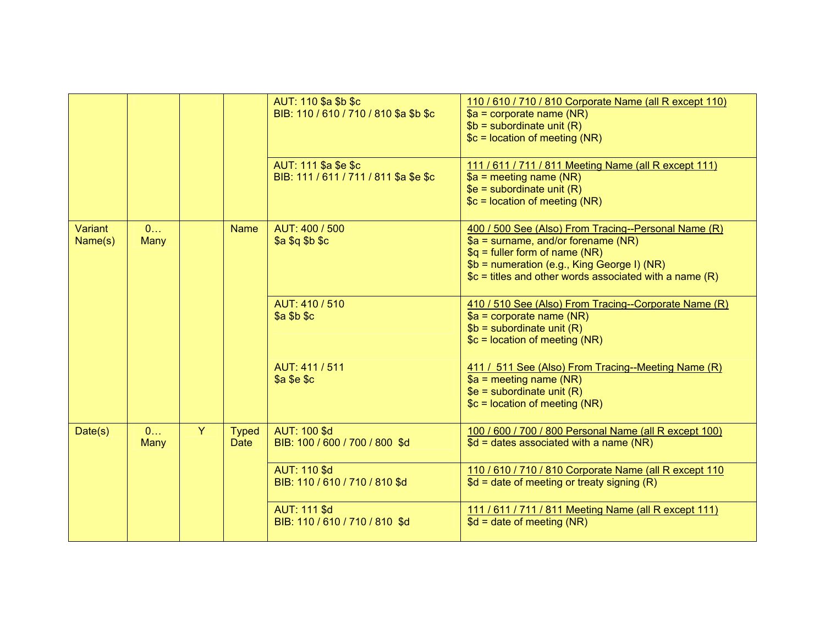|                    |           |   |                             | AUT: 110 \$a \$b \$c<br>BIB: 110 / 610 / 710 / 810 \$a \$b \$c | 110 / 610 / 710 / 810 Corporate Name (all R except 110)<br>$a =$ corporate name (NR)<br>$$b = subordinate unit (R)$<br>$c = location of meeting (NR)$                                                                                     |
|--------------------|-----------|---|-----------------------------|----------------------------------------------------------------|-------------------------------------------------------------------------------------------------------------------------------------------------------------------------------------------------------------------------------------------|
|                    |           |   |                             | AUT: 111 \$a \$e \$c<br>BIB: 111 / 611 / 711 / 811 \$a \$e \$c | 111 / 611 / 711 / 811 Meeting Name (all R except 111)<br>$a = meeting name (NR)$<br>$$e =$ subordinate unit (R)<br>$c = location of meeting (NR)$                                                                                         |
| Variant<br>Name(s) | 0<br>Many |   | <b>Name</b>                 | AUT: 400 / 500<br>\$a \$q \$b \$c                              | 400 / 500 See (Also) From Tracing--Personal Name (R)<br>\$a = surname, and/or forename (NR)<br>$q =$ fuller form of name (NR)<br>\$b = numeration (e.g., King George I) (NR)<br>$c =$ titles and other words associated with a name $(R)$ |
|                    |           |   |                             | AUT: 410 / 510<br>\$a \$b \$c                                  | 410 / 510 See (Also) From Tracing--Corporate Name (R)<br>$$a = corporate name (NR)$<br>$$b =$ subordinate unit (R)<br>$c = location of meeting (NR)$                                                                                      |
|                    |           |   |                             | AUT: 411 / 511<br>\$a \$e \$c                                  | 411 / 511 See (Also) From Tracing--Meeting Name (R)<br>$\overline{\$a}$ = meeting name (NR)<br>$$e = subordinate unit (R)$<br>$c = location of meeting (NR)$                                                                              |
| Date(s)            | 0<br>Many | Y | <b>Typed</b><br><b>Date</b> | <b>AUT: 100 \$d</b><br>BIB: 100 / 600 / 700 / 800 \$d          | 100 / 600 / 700 / 800 Personal Name (all R except 100)<br>$$d =$ dates associated with a name (NR)                                                                                                                                        |
|                    |           |   |                             | <b>AUT: 110 \$d</b><br>BIB: 110 / 610 / 710 / 810 \$d          | 110 / 610 / 710 / 810 Corporate Name (all R except 110<br>$$d = date of meeting or treaty signing (R)$                                                                                                                                    |
|                    |           |   |                             | <b>AUT: 111 \$d</b><br>BIB: 110 / 610 / 710 / 810 \$d          | 111 / 611 / 711 / 811 Meeting Name (all R except 111)<br>$d = date of meeting (NR)$                                                                                                                                                       |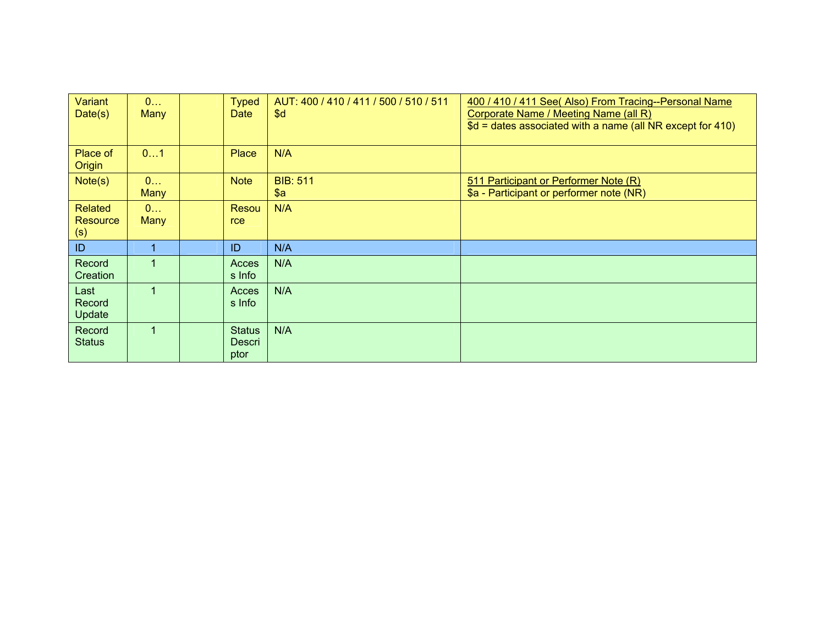| Variant<br>Date(s)                       | 0<br>Many | <b>Typed</b><br><b>Date</b>     | AUT: 400 / 410 / 411 / 500 / 510 / 511<br>\$d | 400 / 410 / 411 See( Also) From Tracing--Personal Name<br>Corporate Name / Meeting Name (all R)<br>$$d =$ dates associated with a name (all NR except for 410) |
|------------------------------------------|-----------|---------------------------------|-----------------------------------------------|----------------------------------------------------------------------------------------------------------------------------------------------------------------|
| Place of<br>Origin                       | 01        | <b>Place</b>                    | N/A                                           |                                                                                                                                                                |
| Note(s)                                  | 0<br>Many | <b>Note</b>                     | <b>BIB: 511</b><br>\$a                        | 511 Participant or Performer Note (R)<br>\$a - Participant or performer note (NR)                                                                              |
| <b>Related</b><br><b>Resource</b><br>(s) | 0<br>Many | Resou<br>rce                    | N/A                                           |                                                                                                                                                                |
| ID                                       |           | ID                              | N/A                                           |                                                                                                                                                                |
| Record<br>Creation                       |           | Acces<br>s Info                 | N/A                                           |                                                                                                                                                                |
| Last<br>Record<br>Update                 |           | Acces<br>s Info                 | N/A                                           |                                                                                                                                                                |
| Record<br><b>Status</b>                  | 1         | <b>Status</b><br>Descri<br>ptor | N/A                                           |                                                                                                                                                                |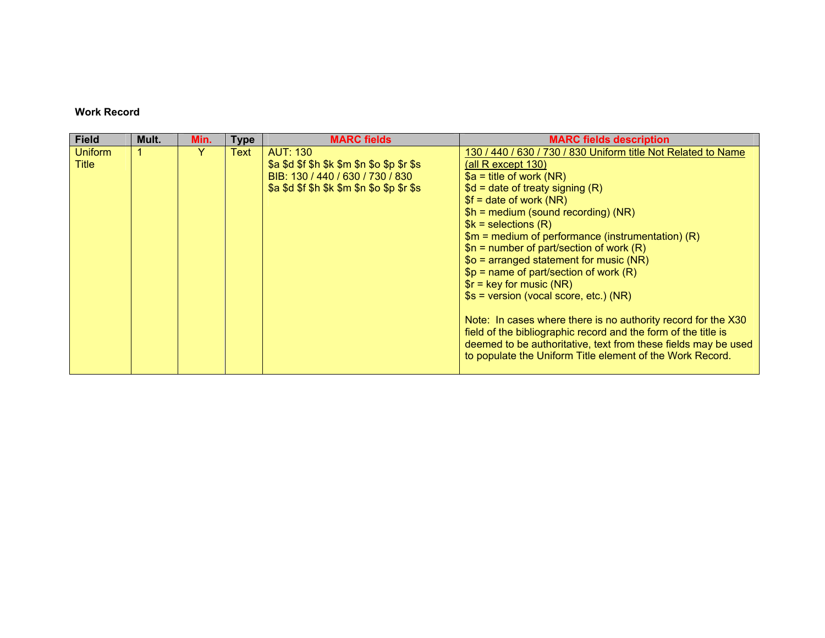# **Work Record**

| <b>Field</b>   | Mult. | Min. | <b>Type</b> | <b>MARC</b> fields                          | <b>MARC fields description</b>                                 |
|----------------|-------|------|-------------|---------------------------------------------|----------------------------------------------------------------|
| <b>Uniform</b> |       | Y    | Text        | <b>AUT: 130</b>                             | 130 / 440 / 630 / 730 / 830 Uniform title Not Related to Name  |
| Title          |       |      |             | \$a \$d \$f \$h \$k \$m \$n \$o \$p \$r \$s | (all R except $130$ )                                          |
|                |       |      |             | BIB: 130 / 440 / 630 / 730 / 830            | $a = \text{title of work (NR)}$                                |
|                |       |      |             | \$a \$d \$f \$h \$k \$m \$n \$o \$p \$r \$s | $d = date of treaty signing (R)$                               |
|                |       |      |             |                                             | $$f = date of work (NR)$                                       |
|                |       |      |             |                                             | $$h = medium$ (sound recording) (NR)                           |
|                |       |      |             |                                             | $$k =$ selections $(R)$                                        |
|                |       |      |             |                                             | $$m = medium of performance (instrumentation) (R)$             |
|                |       |      |             |                                             | $$n =$ number of part/section of work (R)                      |
|                |       |      |             |                                             | $$o = arranged statement for music (NR)$                       |
|                |       |      |             |                                             | $$p =$ name of part/section of work (R)                        |
|                |       |      |             |                                             | $\frac{1}{2}$ for music (NR)                                   |
|                |       |      |             |                                             | $s = version (vocal score, etc.) (NR)$                         |
|                |       |      |             |                                             | Note: In cases where there is no authority record for the X30  |
|                |       |      |             |                                             | field of the bibliographic record and the form of the title is |
|                |       |      |             |                                             | deemed to be authoritative, text from these fields may be used |
|                |       |      |             |                                             | to populate the Uniform Title element of the Work Record.      |
|                |       |      |             |                                             |                                                                |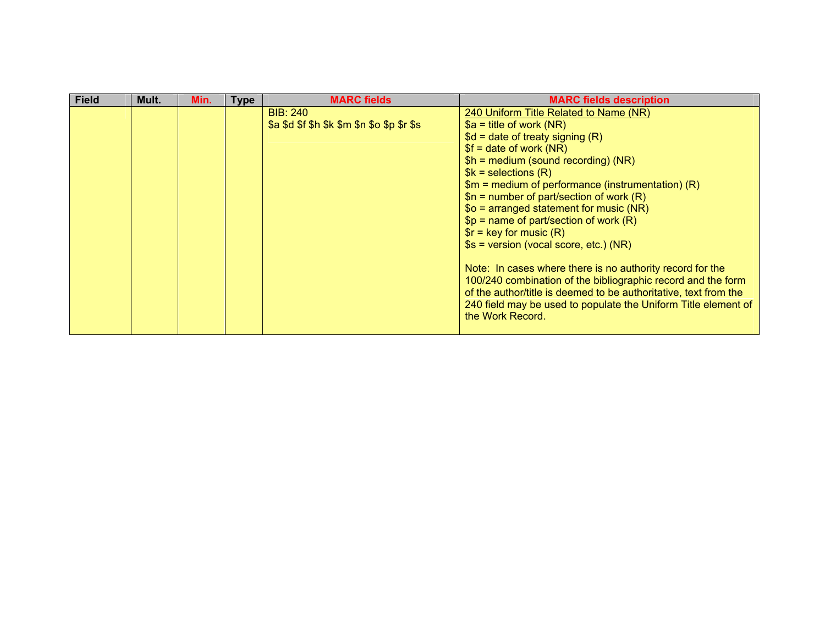| <b>Field</b> | Mult. | Min. | Type | <b>MARC</b> fields                          | <b>MARC fields description</b>                                                                                                                                                                                                                                                      |
|--------------|-------|------|------|---------------------------------------------|-------------------------------------------------------------------------------------------------------------------------------------------------------------------------------------------------------------------------------------------------------------------------------------|
|              |       |      |      | <b>BIB: 240</b>                             | 240 Uniform Title Related to Name (NR)                                                                                                                                                                                                                                              |
|              |       |      |      | \$a \$d \$f \$h \$k \$m \$n \$o \$p \$r \$s | $a = \text{title of work (NR)}$                                                                                                                                                                                                                                                     |
|              |       |      |      |                                             | $d = date of treaty signing (R)$                                                                                                                                                                                                                                                    |
|              |       |      |      |                                             | $$f = date of work (NR)$                                                                                                                                                                                                                                                            |
|              |       |      |      |                                             | $$h = medium (sound recording) (NR)$                                                                                                                                                                                                                                                |
|              |       |      |      |                                             | $%k =$ selections $(R)$                                                                                                                                                                                                                                                             |
|              |       |      |      |                                             | $$m = medium of performance (instrumentation) (R)$                                                                                                                                                                                                                                  |
|              |       |      |      |                                             | $$n =$ number of part/section of work (R)                                                                                                                                                                                                                                           |
|              |       |      |      |                                             | $$o = arranged statement for music (NR)$                                                                                                                                                                                                                                            |
|              |       |      |      |                                             | $$p =$ name of part/section of work (R)                                                                                                                                                                                                                                             |
|              |       |      |      |                                             | $\text{sr}$ = key for music (R)                                                                                                                                                                                                                                                     |
|              |       |      |      |                                             | $s = version (vocal score, etc.) (NR)$                                                                                                                                                                                                                                              |
|              |       |      |      |                                             | Note: In cases where there is no authority record for the<br>100/240 combination of the bibliographic record and the form<br>of the author/title is deemed to be authoritative, text from the<br>240 field may be used to populate the Uniform Title element of<br>the Work Record. |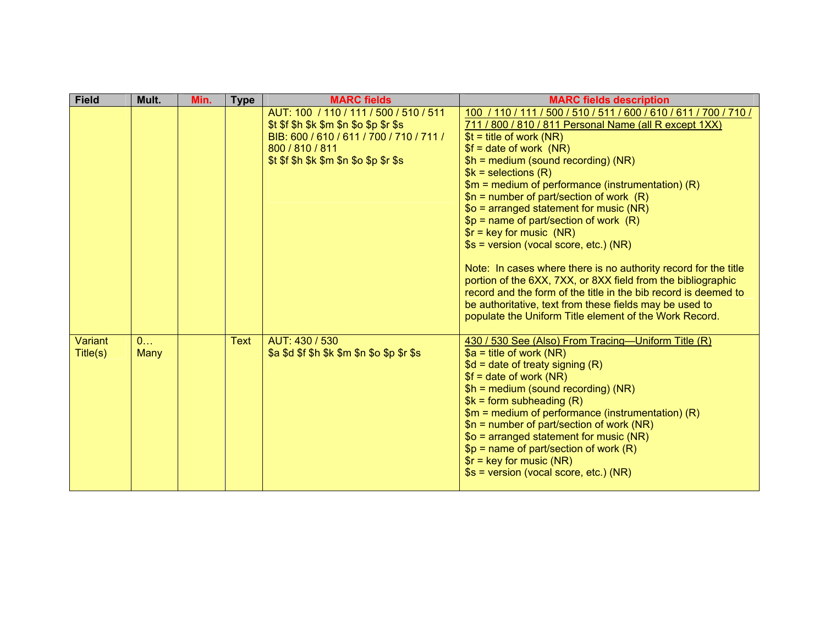| <b>Field</b>        | Mult.     | Min. | <b>Type</b> | <b>MARC fields</b>                                                                                                                                                                                              | <b>MARC fields description</b>                                                                                                                                                                                                                                                                                                                                                                                                                                                                                                                                                                                                                                                                                                                                                                                                                                 |
|---------------------|-----------|------|-------------|-----------------------------------------------------------------------------------------------------------------------------------------------------------------------------------------------------------------|----------------------------------------------------------------------------------------------------------------------------------------------------------------------------------------------------------------------------------------------------------------------------------------------------------------------------------------------------------------------------------------------------------------------------------------------------------------------------------------------------------------------------------------------------------------------------------------------------------------------------------------------------------------------------------------------------------------------------------------------------------------------------------------------------------------------------------------------------------------|
|                     |           |      |             | AUT: 100 / 110 / 111 / 500 / 510 / 511<br>$$t$ $$f$ $$h$ $$k$ $$m$ $$n$ $$o$ $$p$ $$r$ $$s$<br>BIB: 600 / 610 / 611 / 700 / 710 / 711 /<br>800 / 810 / 811<br>$$t$ $$f$ $$h$ $$k$ $$m$ $$n$ $$o$ $$p$ $$r$ $$s$ | 100 / 110 / 111 / 500 / 510 / 511 / 600 / 610 / 611 / 700 / 710 /<br>711 / 800 / 810 / 811 Personal Name (all R except 1XX)<br>$$t = title of work (NR)$<br>$$f = date of work (NR)$<br>$$h = medium (sound recording) (NR)$<br>$$k =$ selections $(R)$<br>$$m = medium of performance (instrumentation) (R)$<br>$$n = number of part/section of work (R)$<br>$$o = arranged statement for music (NR)$<br>$$p =$ name of part/section of work $(R)$<br>$\frac{1}{2}$ = key for music (NR)<br>\$s = version (vocal score, etc.) (NR)<br>Note: In cases where there is no authority record for the title<br>portion of the 6XX, 7XX, or 8XX field from the bibliographic<br>record and the form of the title in the bib record is deemed to<br>be authoritative, text from these fields may be used to<br>populate the Uniform Title element of the Work Record. |
| Variant<br>Title(s) | 0<br>Many |      | <b>Text</b> | AUT: 430 / 530<br>\$a \$d \$f \$h \$k \$m \$n \$o \$p \$r \$s                                                                                                                                                   | 430 / 530 See (Also) From Tracing-Uniform Title (R)<br>$a = \text{title of work (NR)}$<br>$$d = date of treaty signing (R)$<br>$$f = date of work (NR)$<br>$$h = medium (sound recording) (NR)$<br>$%k = form subheading(R)$<br>$$m = medium of performance (instrumentation) (R)$<br>$$n =$ number of part/section of work (NR)<br>$$o = arranged statement for music (NR)$<br>$$p =$ name of part/section of work (R)<br>$\frac{1}{2}$ = key for music (NR)<br>\$s = version (vocal score, etc.) (NR)                                                                                                                                                                                                                                                                                                                                                        |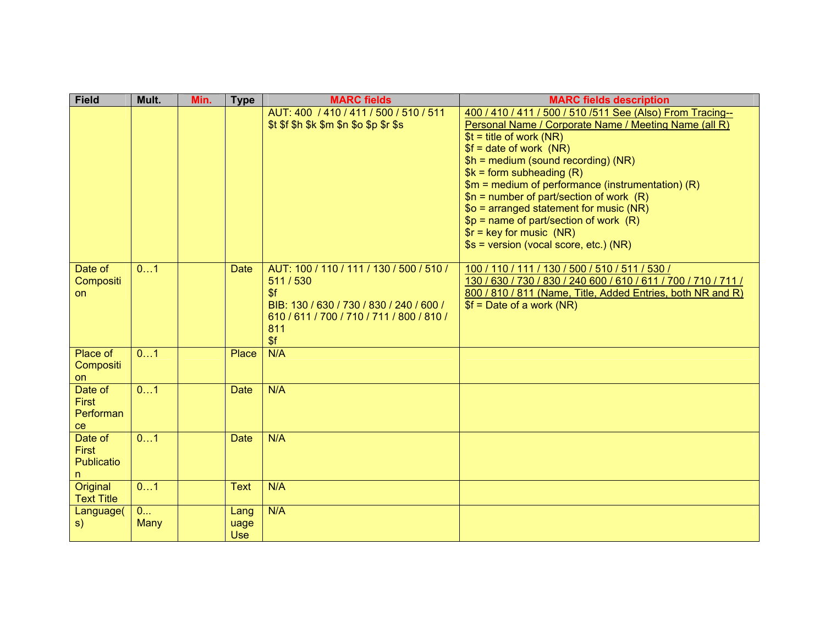| <b>Field</b>                                      | Mult.     | Min. | <b>Type</b>                | <b>MARC</b> fields                                                                                                                                                | <b>MARC fields description</b>                                                                                                                                                                                                                                                                                                                                                                                                                                                                                                 |
|---------------------------------------------------|-----------|------|----------------------------|-------------------------------------------------------------------------------------------------------------------------------------------------------------------|--------------------------------------------------------------------------------------------------------------------------------------------------------------------------------------------------------------------------------------------------------------------------------------------------------------------------------------------------------------------------------------------------------------------------------------------------------------------------------------------------------------------------------|
|                                                   |           |      |                            | AUT: 400 / 410 / 411 / 500 / 510 / 511<br>\$t \$f \$h \$k \$m \$n \$o \$p \$r \$s                                                                                 | 400 / 410 / 411 / 500 / 510 / 511 See (Also) From Tracing--<br>Personal Name / Corporate Name / Meeting Name (all R)<br>$$t = title of work (NR)$<br>$$f = date of work (NR)$<br>$$h = medium (sound recording) (NR)$<br>$$k = form subheading(R)$<br>$$m = medium of performance (instrumentation) (R)$<br>$$n = number of part/section of work (R)$<br>$$o = arranged statement for music (NR)$<br>$$p =$ name of part/section of work $(R)$<br>$\frac{1}{2}$ = key for music (NR)<br>\$s = version (vocal score, etc.) (NR) |
| Date of<br>Compositi<br><b>on</b>                 | 01        |      | <b>Date</b>                | AUT: 100 / 110 / 111 / 130 / 500 / 510 /<br>511/530<br>\$f<br>BIB: 130 / 630 / 730 / 830 / 240 / 600 /<br>610 / 611 / 700 / 710 / 711 / 800 / 810 /<br>811<br>\$f | 100 / 110 / 111 / 130 / 500 / 510 / 511 / 530 /<br>130 / 630 / 730 / 830 / 240 600 / 610 / 611 / 700 / 710 / 711 /<br>800 / 810 / 811 (Name, Title, Added Entries, both NR and R)<br>$$f = Date of a work (NR)$                                                                                                                                                                                                                                                                                                                |
| Place of<br>Compositi<br>on                       | 01        |      | Place                      | N/A                                                                                                                                                               |                                                                                                                                                                                                                                                                                                                                                                                                                                                                                                                                |
| Date of<br><b>First</b><br>Performan<br>ce        | 01        |      | <b>Date</b>                | N/A                                                                                                                                                               |                                                                                                                                                                                                                                                                                                                                                                                                                                                                                                                                |
| Date of<br><b>First</b><br><b>Publicatio</b><br>n | 01        |      | <b>Date</b>                | N/A                                                                                                                                                               |                                                                                                                                                                                                                                                                                                                                                                                                                                                                                                                                |
| Original<br><b>Text Title</b>                     | 01        |      | <b>Text</b>                | N/A                                                                                                                                                               |                                                                                                                                                                                                                                                                                                                                                                                                                                                                                                                                |
| Language(<br>S)                                   | 0<br>Many |      | Lang<br>uage<br><b>Use</b> | N/A                                                                                                                                                               |                                                                                                                                                                                                                                                                                                                                                                                                                                                                                                                                |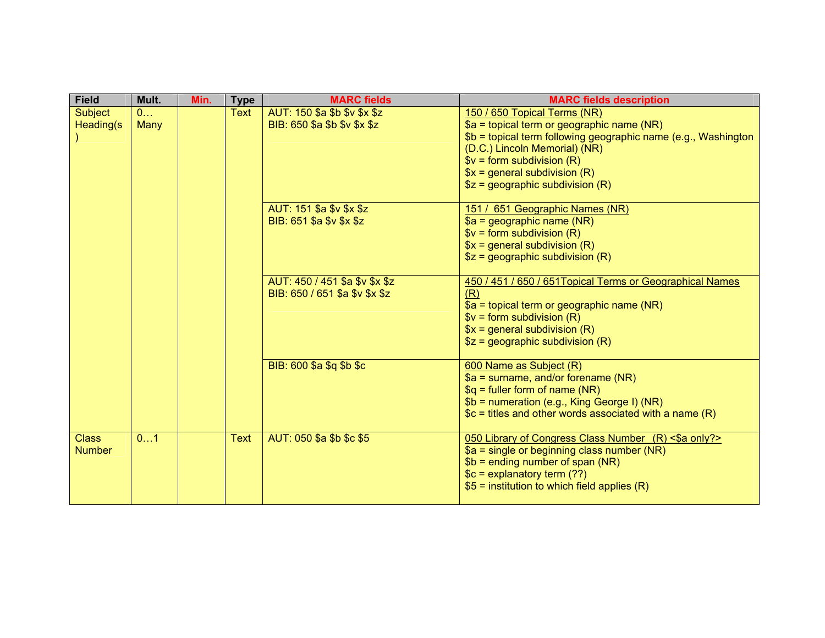| <b>Field</b>                  | Mult.     | Min. | <b>Type</b> | <b>MARC fields</b>                                               | <b>MARC fields description</b>                                                                                                                                                                                                                                                    |
|-------------------------------|-----------|------|-------------|------------------------------------------------------------------|-----------------------------------------------------------------------------------------------------------------------------------------------------------------------------------------------------------------------------------------------------------------------------------|
| <b>Subject</b><br>Heading(s)  | 0<br>Many |      | <b>Text</b> | AUT: 150 \$a \$b \$v \$x \$z<br>BIB: 650 \$a \$b \$v \$x \$z     | 150 / 650 Topical Terms (NR)<br>$a =$ topical term or geographic name (NR)<br>\$b = topical term following geographic name (e.g., Washington<br>(D.C.) Lincoln Memorial) (NR)<br>$V = form subdivision (R)$<br>$x = general subdivision (R)$<br>$$z =$ geographic subdivision (R) |
|                               |           |      |             | AUT: 151 \$a \$v \$x \$z<br>BIB: 651 \$a \$v \$x \$z             | 151 / 651 Geographic Names (NR)<br>$a = geographic name (NR)$<br>$V = form subdivision (R)$<br>$x = general subdivision (R)$<br>$$z =$ geographic subdivision (R)                                                                                                                 |
|                               |           |      |             | AUT: 450 / 451 \$a \$v \$x \$z<br>BIB: 650 / 651 \$a \$v \$x \$z | 450 / 451 / 650 / 651 Topical Terms or Geographical Names<br>(R)<br>$$a =$ topical term or geographic name (NR)<br>$$v = form$ subdivision (R)<br>$x = general subdivision (R)$<br>$$z =$ geographic subdivision (R)                                                              |
|                               |           |      |             | BIB: 600 \$a \$q \$b \$c                                         | 600 Name as Subject (R)<br>$$a =$ surname, and/or forename (NR)<br>$a = fuller form of name (NR)$<br>\$b = numeration (e.g., King George I) (NR)<br>$C =$ titles and other words associated with a name $(R)$                                                                     |
| <b>Class</b><br><b>Number</b> | 01        |      | <b>Text</b> | AUT: 050 \$a \$b \$c \$5                                         | 050 Library of Congress Class Number (R) <\$a only?><br>$a = \frac{1}{2}$ single or beginning class number (NR)<br>$$b = ending number of span (NR)$<br>$c =$ explanatory term (??)<br>$$5 =$ institution to which field applies (R)                                              |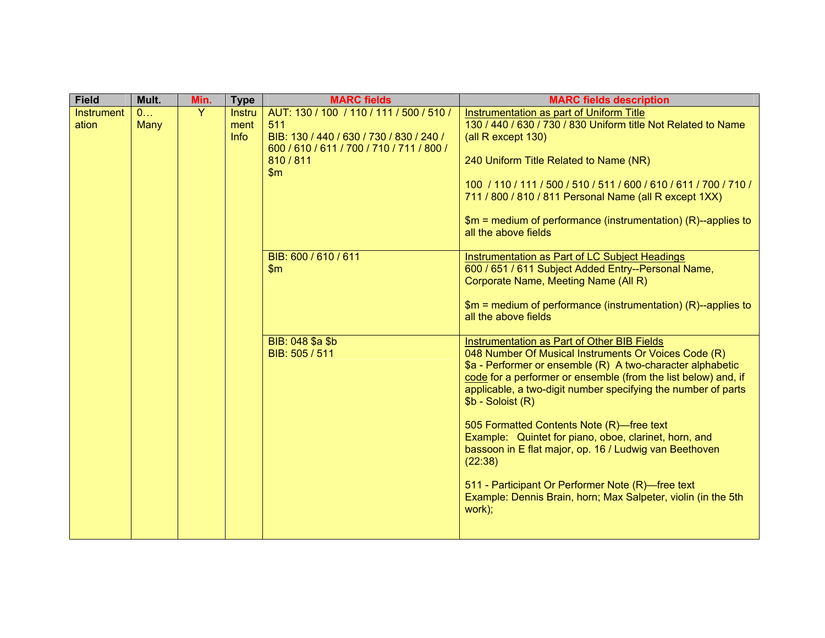| 130 / 440 / 630 / 730 / 830 Uniform title Not Related to Name                                                                                                                                                                                                                                                                                                                                                                                                                                                                                                                              |
|--------------------------------------------------------------------------------------------------------------------------------------------------------------------------------------------------------------------------------------------------------------------------------------------------------------------------------------------------------------------------------------------------------------------------------------------------------------------------------------------------------------------------------------------------------------------------------------------|
| 240 Uniform Title Related to Name (NR)                                                                                                                                                                                                                                                                                                                                                                                                                                                                                                                                                     |
| 100 / 110 / 111 / 500 / 510 / 511 / 600 / 610 / 611 / 700 / 710 /<br>711 / 800 / 810 / 811 Personal Name (all R except 1XX)<br>$$m = medium of performance (instrumentation) (R) - applies to$                                                                                                                                                                                                                                                                                                                                                                                             |
| Instrumentation as Part of LC Subject Headings<br>600 / 651 / 611 Subject Added Entry--Personal Name,<br>Corporate Name, Meeting Name (All R)<br>$$m = medium of performance (instrumentation) (R) - applies to$                                                                                                                                                                                                                                                                                                                                                                           |
| Instrumentation as Part of Other BIB Fields<br>048 Number Of Musical Instruments Or Voices Code (R)<br>\$a - Performer or ensemble (R) A two-character alphabetic<br>code for a performer or ensemble (from the list below) and, if<br>applicable, a two-digit number specifying the number of parts<br>505 Formatted Contents Note (R)-free text<br>Example: Quintet for piano, oboe, clarinet, horn, and<br>bassoon in E flat major, op. 16 / Ludwig van Beethoven<br>511 - Participant Or Performer Note (R)-free text<br>Example: Dennis Brain, horn; Max Salpeter, violin (in the 5th |
|                                                                                                                                                                                                                                                                                                                                                                                                                                                                                                                                                                                            |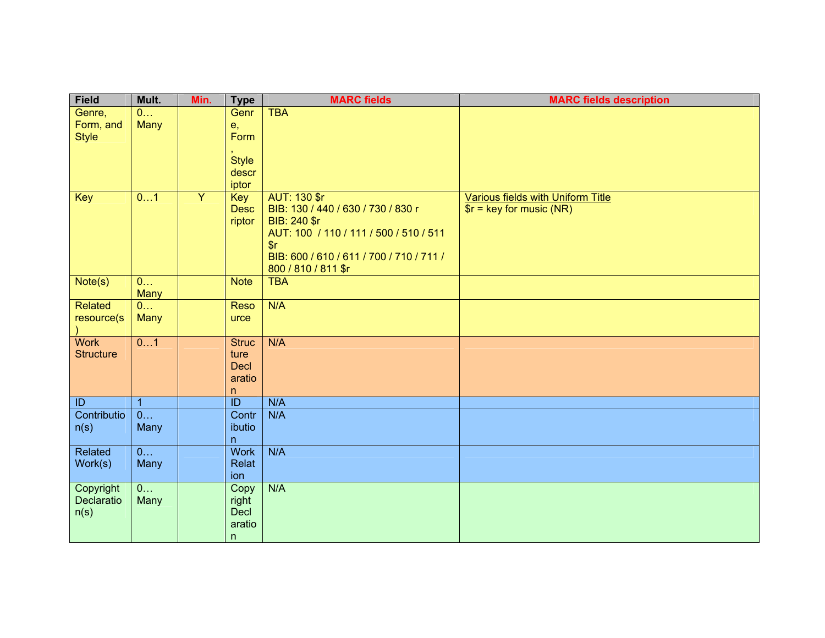| <b>Field</b>                  | Mult.                          | Min.           | <b>Type</b>              | <b>MARC fields</b>                                     | <b>MARC fields description</b>     |
|-------------------------------|--------------------------------|----------------|--------------------------|--------------------------------------------------------|------------------------------------|
| Genre,                        | 0                              |                | Genr                     | <b>TBA</b>                                             |                                    |
| Form, and                     | <b>Many</b>                    |                | e,                       |                                                        |                                    |
| <b>Style</b>                  |                                |                | Form                     |                                                        |                                    |
|                               |                                |                | <b>Style</b>             |                                                        |                                    |
|                               |                                |                | descr                    |                                                        |                                    |
|                               |                                |                | iptor                    |                                                        |                                    |
| Key                           | 01                             | $\overline{Y}$ | Key                      | AUT: 130 \$r                                           | Various fields with Uniform Title  |
|                               |                                |                | <b>Desc</b>              | BIB: 130 / 440 / 630 / 730 / 830 r                     | $\frac{1}{2}$ = key for music (NR) |
|                               |                                |                | riptor                   | BIB: 240 \$r<br>AUT: 100 / 110 / 111 / 500 / 510 / 511 |                                    |
|                               |                                |                |                          | s <sub>r</sub>                                         |                                    |
|                               |                                |                |                          | BIB: 600 / 610 / 611 / 700 / 710 / 711 /               |                                    |
|                               |                                |                |                          | 800 / 810 / 811 \$r                                    |                                    |
| Note(s)                       | $\overline{0}$                 |                | <b>Note</b>              | <b>TBA</b>                                             |                                    |
|                               | <b>Many</b>                    |                |                          |                                                        |                                    |
| Related                       | $\overline{0}$                 |                | <b>Reso</b>              | N/A                                                    |                                    |
| resource(s)                   | Many                           |                | urce                     |                                                        |                                    |
| <b>Work</b>                   | 01                             |                | <b>Struc</b>             | N/A                                                    |                                    |
| <b>Structure</b>              |                                |                | ture                     |                                                        |                                    |
|                               |                                |                | <b>Decl</b>              |                                                        |                                    |
|                               |                                |                | aratio                   |                                                        |                                    |
|                               |                                |                | n                        |                                                        |                                    |
| $\overline{1}$<br>Contributio | $\mathbf{1}$<br>$\overline{0}$ |                | $\overline{ID}$<br>Contr | N/A<br>N/A                                             |                                    |
| n(s)                          | Many                           |                | ibutio                   |                                                        |                                    |
|                               |                                |                | n                        |                                                        |                                    |
| Related                       | $\overline{0}$                 |                | <b>Work</b>              | N/A                                                    |                                    |
| Work(s)                       | Many                           |                | Relat                    |                                                        |                                    |
|                               |                                |                | ion                      |                                                        |                                    |
| Copyright<br>Declaratio       | 0                              |                | Copy                     | N/A                                                    |                                    |
| n(s)                          | Many                           |                | right<br>Decl            |                                                        |                                    |
|                               |                                |                | aratio                   |                                                        |                                    |
|                               |                                |                | n                        |                                                        |                                    |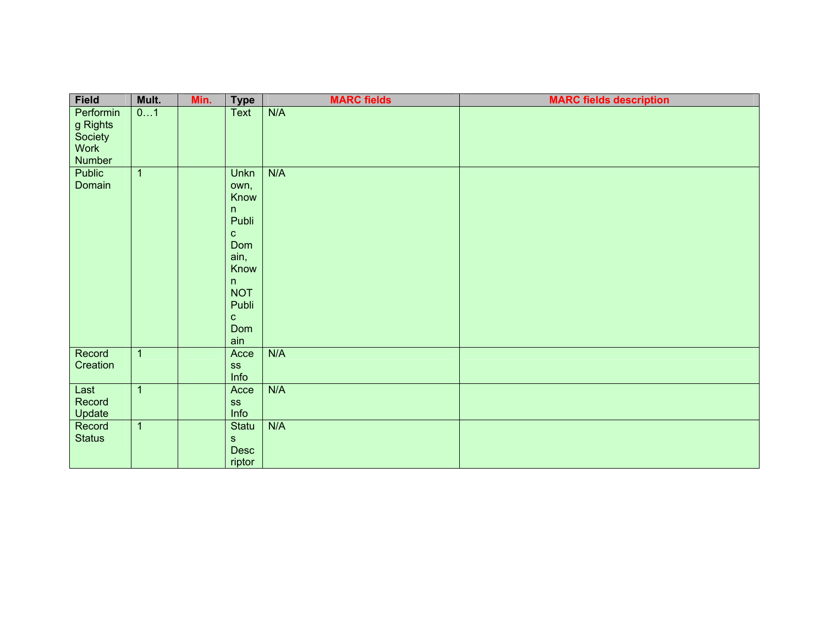| Field                                                     | Mult.          | Min. | <b>Type</b>                                                                                                                      | <b>MARC fields</b> | <b>MARC fields description</b> |
|-----------------------------------------------------------|----------------|------|----------------------------------------------------------------------------------------------------------------------------------|--------------------|--------------------------------|
| Performin<br>g Rights<br>Society<br><b>Work</b><br>Number | 01             |      | <b>Text</b>                                                                                                                      | N/A                |                                |
| <b>Public</b><br>Domain                                   | $\mathbf{1}$   |      | Unkn<br>own,<br>Know<br>n<br>Publi<br>${\bf C}$<br>Dom<br>ain,<br>Know<br>n<br><b>NOT</b><br>Publi<br>$\mathbf{C}$<br>Dom<br>ain | N/A                |                                |
| Record<br>Creation                                        | $\overline{1}$ |      | Acce<br><b>SS</b><br>Info                                                                                                        | N/A                |                                |
| Last<br>Record<br>Update                                  | $\overline{1}$ |      | Acce<br>SS<br>Info                                                                                                               | N/A                |                                |
| Record<br><b>Status</b>                                   | $\mathbf 1$    |      | Statu<br>$\mathbf S$<br>Desc<br>riptor                                                                                           | N/A                |                                |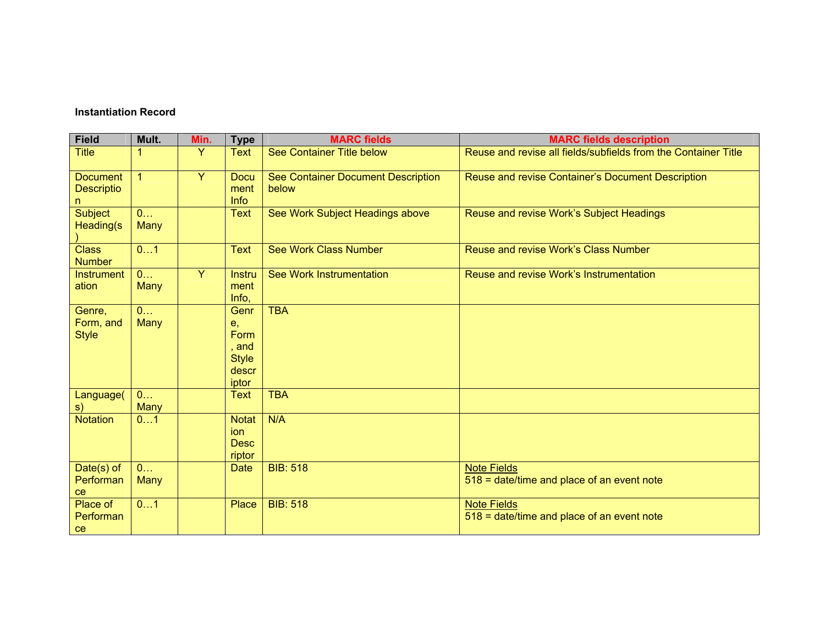#### **Instantiation Record**

| <b>Field</b>                  | Mult.                         | Min. | <b>Type</b>  | <b>MARC</b> fields                 | <b>MARC fields description</b>                                   |
|-------------------------------|-------------------------------|------|--------------|------------------------------------|------------------------------------------------------------------|
| <b>Title</b>                  | 1                             | Y    | <b>Text</b>  | <b>See Container Title below</b>   | Reuse and revise all fields/subfields from the Container Title   |
| <b>Document</b>               | $\mathbf{1}$                  | Y    | <b>Docu</b>  | See Container Document Description | Reuse and revise Container's Document Description                |
| <b>Descriptio</b>             |                               |      | ment         | below                              |                                                                  |
| n                             |                               |      | <b>Info</b>  |                                    |                                                                  |
| <b>Subject</b><br>Heading(s)  | $\overline{0}$<br>Many        |      | <b>Text</b>  | See Work Subject Headings above    | Reuse and revise Work's Subject Headings                         |
| <b>Class</b><br><b>Number</b> | 01                            |      | <b>Text</b>  | <b>See Work Class Number</b>       | Reuse and revise Work's Class Number                             |
| <b>Instrument</b>             | 0                             | Y    | Instru       | <b>See Work Instrumentation</b>    | Reuse and revise Work's Instrumentation                          |
| ation                         | <b>Many</b>                   |      | ment         |                                    |                                                                  |
|                               |                               |      | Info.        |                                    |                                                                  |
| Genre,<br>Form, and           | 0<br><b>Many</b>              |      | Genr         | <b>TBA</b>                         |                                                                  |
| <b>Style</b>                  |                               |      | е,<br>Form   |                                    |                                                                  |
|                               |                               |      | and          |                                    |                                                                  |
|                               |                               |      | <b>Style</b> |                                    |                                                                  |
|                               |                               |      | descr        |                                    |                                                                  |
|                               |                               |      | iptor        |                                    |                                                                  |
| Language(<br>s)               | $\overline{0}$<br><b>Many</b> |      | <b>Text</b>  | <b>TBA</b>                         |                                                                  |
| <b>Notation</b>               | 01                            |      | <b>Notat</b> | N/A                                |                                                                  |
|                               |                               |      | ion          |                                    |                                                                  |
|                               |                               |      | <b>Desc</b>  |                                    |                                                                  |
|                               |                               |      | riptor       |                                    |                                                                  |
| Date $(s)$ of<br>Performan    | 0<br><b>Many</b>              |      | <b>Date</b>  | <b>BIB: 518</b>                    | <b>Note Fields</b><br>518 = date/time and place of an event note |
| ce                            |                               |      |              |                                    |                                                                  |
| Place of                      | 01                            |      | Place        | <b>BIB: 518</b>                    | <b>Note Fields</b>                                               |
| Performan                     |                               |      |              |                                    | 518 = date/time and place of an event note                       |
| <sub>ce</sub>                 |                               |      |              |                                    |                                                                  |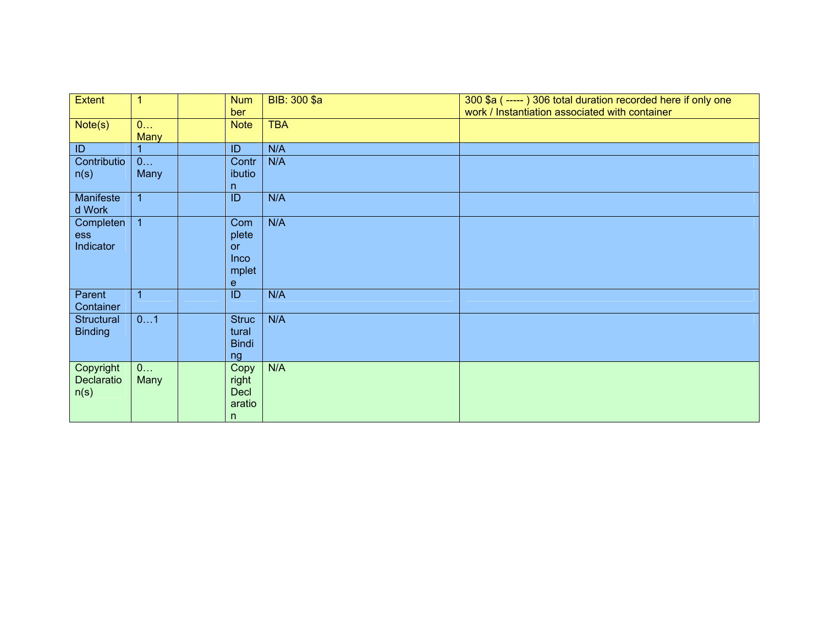| Extent                          | $\mathbf 1$      | <b>Num</b><br>ber                               | BIB: 300 \$a | 300 \$a (-----) 306 total duration recorded here if only one<br>work / Instantiation associated with container |
|---------------------------------|------------------|-------------------------------------------------|--------------|----------------------------------------------------------------------------------------------------------------|
| Note(s)                         | 0<br><b>Many</b> | <b>Note</b>                                     | <b>TBA</b>   |                                                                                                                |
| ID                              |                  | ID                                              | N/A          |                                                                                                                |
| Contributio                     | 0                | Contr                                           | N/A          |                                                                                                                |
| n(s)                            | Many             | ibutio<br>n                                     |              |                                                                                                                |
| Manifeste<br>d Work             | $\overline{1}$   | ID                                              | N/A          |                                                                                                                |
| Completen<br>ess<br>Indicator   | $\overline{1}$   | Com<br>plete<br><b>or</b><br>Inco<br>mplet<br>e | N/A          |                                                                                                                |
| Parent<br>Container             | $\overline{1}$   | $\overline{ID}$                                 | N/A          |                                                                                                                |
| Structural<br><b>Binding</b>    | 01               | <b>Struc</b><br>tural<br><b>Bindi</b><br>ng     | N/A          |                                                                                                                |
| Copyright<br>Declaratio<br>n(s) | 0<br>Many        | Copy<br>right<br><b>Decl</b><br>aratio<br>n     | N/A          |                                                                                                                |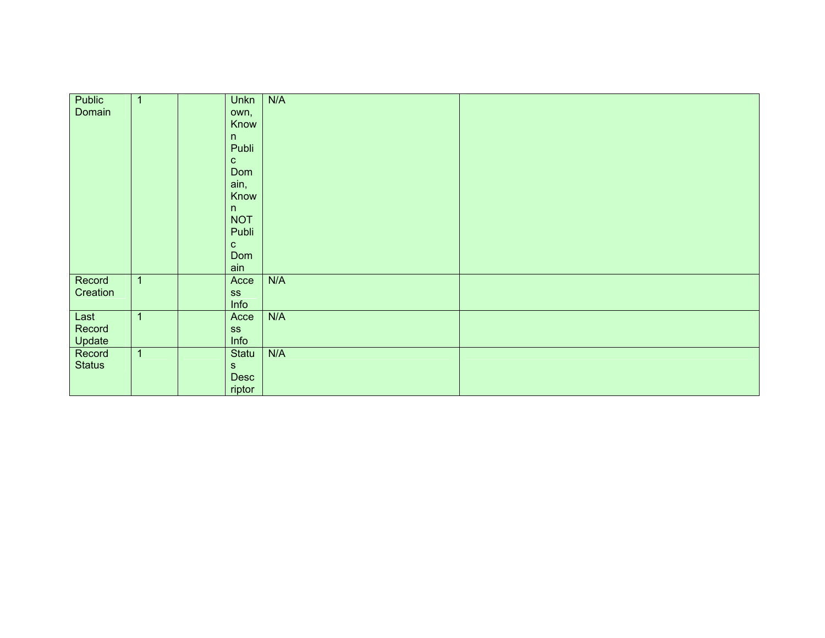| Public        | $\mathbf{1}$   | <b>Unkn</b>   | N/A |  |
|---------------|----------------|---------------|-----|--|
|               |                |               |     |  |
| Domain        |                | own,          |     |  |
|               |                | Know          |     |  |
|               |                | n             |     |  |
|               |                | Publi         |     |  |
|               |                | $\mathbf{C}$  |     |  |
|               |                | Dom           |     |  |
|               |                | ain,          |     |  |
|               |                | Know          |     |  |
|               |                | n             |     |  |
|               |                | <b>NOT</b>    |     |  |
|               |                | Publi         |     |  |
|               |                |               |     |  |
|               |                | $\mathbf{C}$  |     |  |
|               |                | Dom           |     |  |
|               |                | ain           |     |  |
| Record        | $\mathbf{1}$   | Acce          | N/A |  |
| Creation      |                | SS            |     |  |
|               |                | Info          |     |  |
| Last          | $\overline{1}$ | Acce          | N/A |  |
| Record        |                | SS            |     |  |
| Update        |                | Info          |     |  |
| Record        | $\overline{1}$ | Statu         | N/A |  |
| <b>Status</b> |                | ${\mathbb S}$ |     |  |
|               |                |               |     |  |
|               |                | Desc          |     |  |
|               |                | riptor        |     |  |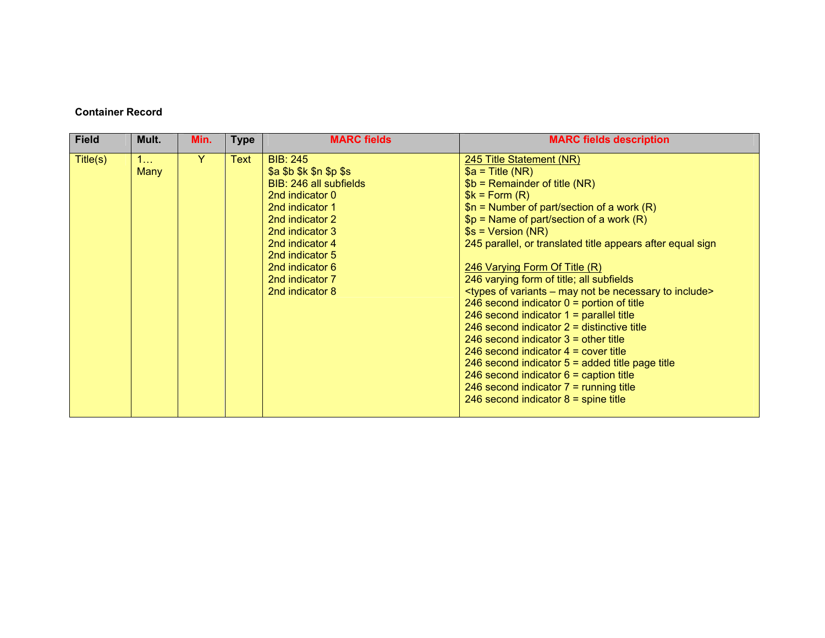### **Container Record**

| <b>Field</b> | Mult.            | Min. | <b>Type</b> | <b>MARC fields</b>                                                                                                                                                                                                                              | <b>MARC fields description</b>                                                                                                                                                                                                                                                                                                                                                                                                                                                                                                                                                                                                                                                                                                                                                                                                                                                                                                                                                                |
|--------------|------------------|------|-------------|-------------------------------------------------------------------------------------------------------------------------------------------------------------------------------------------------------------------------------------------------|-----------------------------------------------------------------------------------------------------------------------------------------------------------------------------------------------------------------------------------------------------------------------------------------------------------------------------------------------------------------------------------------------------------------------------------------------------------------------------------------------------------------------------------------------------------------------------------------------------------------------------------------------------------------------------------------------------------------------------------------------------------------------------------------------------------------------------------------------------------------------------------------------------------------------------------------------------------------------------------------------|
| Title(s)     | 1<br><b>Many</b> | Y    | Text        | <b>BIB: 245</b><br>\$a \$b \$k \$n \$p \$s<br>BIB: 246 all subfields<br>2nd indicator 0<br>2nd indicator 1<br>2nd indicator 2<br>2nd indicator 3<br>2nd indicator 4<br>2nd indicator 5<br>2nd indicator 6<br>2nd indicator 7<br>2nd indicator 8 | 245 Title Statement (NR)<br>$$a = Title (NR)$<br>$$b = Remainder of title (NR)$<br>$k = Form(R)$<br>$$n =$ Number of part/section of a work (R)<br>$$p = Name of part/section of a work (R)$<br>$$s = Version (NR)$<br>245 parallel, or translated title appears after equal sign<br>246 Varying Form Of Title (R)<br>246 varying form of title; all subfields<br><types -="" be="" include="" may="" necessary="" not="" of="" to="" variants=""><br/>246 second indicator <math>0 =</math> portion of title<br/>246 second indicator <math>1 =</math> parallel title<br/>246 second indicator <math>2 =</math> distinctive title<br/>246 second indicator <math>3 =</math> other title<br/>246 second indicator <math>4 =</math> cover title<br/>246 second indicator <math>5 =</math> added title page title<br/>246 second indicator <math>6 =</math> caption title<br/>246 second indicator <math>7 =</math> running title<br/>246 second indicator <math>8 =</math> spine title</types> |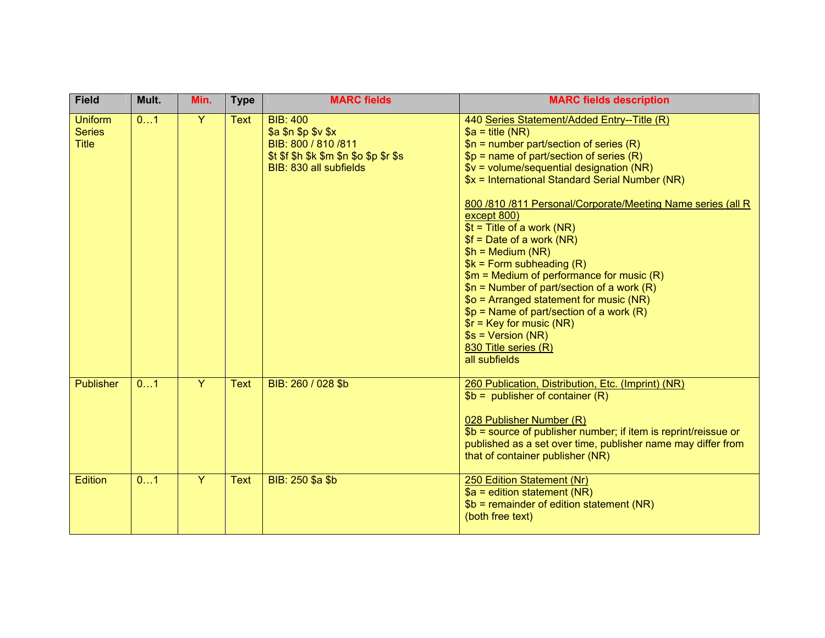| <b>Field</b>                                    | Mult. | Min.           | <b>Type</b> | <b>MARC</b> fields                                                                                                                            | <b>MARC fields description</b>                                                                                                                                                                                                                                                                                                                                                                                                                                                                                                                                                                                                                                                                                                                     |
|-------------------------------------------------|-------|----------------|-------------|-----------------------------------------------------------------------------------------------------------------------------------------------|----------------------------------------------------------------------------------------------------------------------------------------------------------------------------------------------------------------------------------------------------------------------------------------------------------------------------------------------------------------------------------------------------------------------------------------------------------------------------------------------------------------------------------------------------------------------------------------------------------------------------------------------------------------------------------------------------------------------------------------------------|
| <b>Uniform</b><br><b>Series</b><br><b>Title</b> | 01    | $\overline{Y}$ | <b>Text</b> | <b>BIB: 400</b><br>\$a \$n \$p \$v \$x<br>BIB: 800 / 810 / 811<br>$$t$ $$f$ $$h$ $$k$ $$m$ $$n$ $$o$ $$p$ $$r$ $$s$<br>BIB: 830 all subfields | 440 Series Statement/Added Entry--Title (R)<br>$a = title (NR)$<br>$$n =$ number part/section of series (R)<br>$$p =$ name of part/section of series (R)<br>$$v = volume/sequential designation (NR)$<br>\$x = International Standard Serial Number (NR)<br>800 /810 /811 Personal/Corporate/Meeting Name series (all R<br>except 800)<br>$$t =$ Title of a work (NR)<br>$$f = Date of a work (NR)$<br>$$h = Medium (NR)$<br>$$k = Form subheading(R)$<br>$$m = Medium of performance for music (R)$<br>$$n =$ Number of part/section of a work (R)<br>$$o = Arranged statement for music (NR)$<br>$$p = Name of part/section of a work (R)$<br>$\frac{1}{2}$ = Key for music (NR)<br>$$s = Version (NR)$<br>830 Title series (R)<br>all subfields |
| <b>Publisher</b>                                | 01    | $\overline{Y}$ | <b>Text</b> | BIB: 260 / 028 \$b                                                                                                                            | 260 Publication, Distribution, Etc. (Imprint) (NR)<br>$$b =$ publisher of container (R)<br>028 Publisher Number (R)<br>\$b = source of publisher number; if item is reprint/reissue or<br>published as a set over time, publisher name may differ from<br>that of container publisher (NR)                                                                                                                                                                                                                                                                                                                                                                                                                                                         |
| <b>Edition</b>                                  | 01    | $\overline{Y}$ | <b>Text</b> | BIB: 250 \$a \$b                                                                                                                              | 250 Edition Statement (Nr)<br>$$a =$ edition statement (NR)<br>$$b = remainder of edition statement (NR)$<br>(both free text)                                                                                                                                                                                                                                                                                                                                                                                                                                                                                                                                                                                                                      |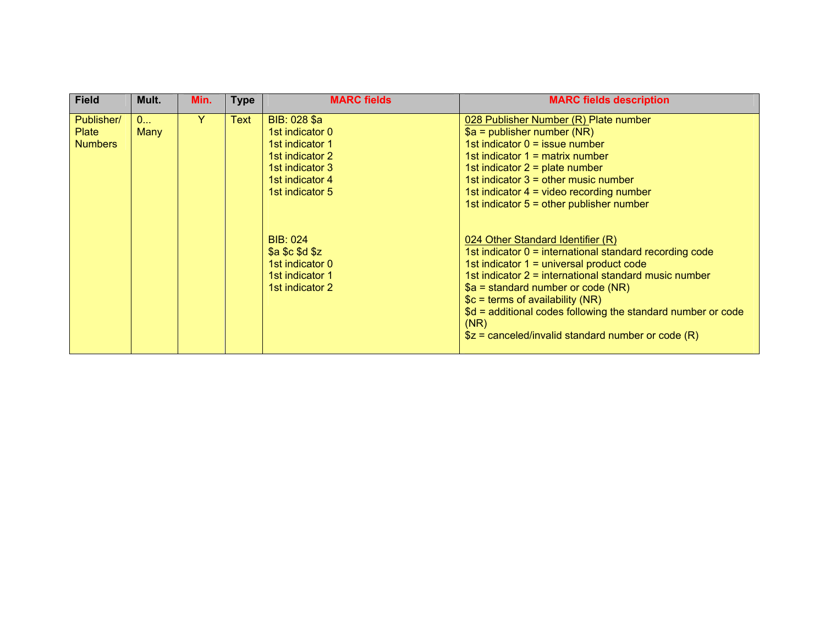| <b>Field</b>                                 | Mult.            | Min. | <b>Type</b> | <b>MARC fields</b>                                                                                                                         | <b>MARC fields description</b>                                                                                                                                                                                                                                                                                                                                                                                 |
|----------------------------------------------|------------------|------|-------------|--------------------------------------------------------------------------------------------------------------------------------------------|----------------------------------------------------------------------------------------------------------------------------------------------------------------------------------------------------------------------------------------------------------------------------------------------------------------------------------------------------------------------------------------------------------------|
| Publisher/<br><b>Plate</b><br><b>Numbers</b> | 0<br><b>Many</b> | Y    | Text        | BIB: 028 \$a<br>1st indicator 0<br>1 <sub>st</sub> indicator 1<br>1st indicator 2<br>1st indicator 3<br>1st indicator 4<br>1st indicator 5 | 028 Publisher Number (R) Plate number<br>$a =$ publisher number (NR)<br>1st indicator $0 =$ issue number<br>1st indicator $1 =$ matrix number<br>1st indicator $2 =$ plate number<br>1st indicator $3 =$ other music number<br>1st indicator $4 =$ video recording number<br>1st indicator $5 =$ other publisher number                                                                                        |
|                                              |                  |      |             | <b>BIB: 024</b><br>\$a \$c \$d \$z<br>1st indicator 0<br>1st indicator 1<br>1st indicator 2                                                | 024 Other Standard Identifier (R)<br>1st indicator $0 =$ international standard recording code<br>1st indicator $1 =$ universal product code<br>1st indicator 2 = international standard music number<br>$a = standard number$ or code (NR)<br>$c =$ terms of availability (NR)<br>\$d = additional codes following the standard number or code<br>(NR)<br>$$z =$ canceled/invalid standard number or code (R) |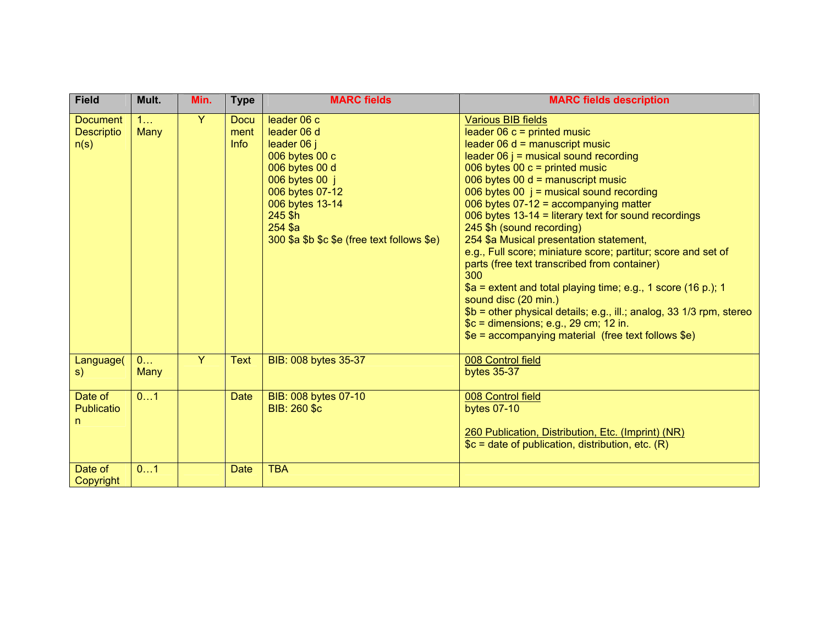| <b>Field</b>                                 | Mult.            | Min. | <b>Type</b>                        | <b>MARC fields</b>                                                                                                                                                                                         | <b>MARC fields description</b>                                                                                                                                                                                                                                                                                                                                                                                                                                                                                                                                                                                                                                                                                                                                                                                                             |
|----------------------------------------------|------------------|------|------------------------------------|------------------------------------------------------------------------------------------------------------------------------------------------------------------------------------------------------------|--------------------------------------------------------------------------------------------------------------------------------------------------------------------------------------------------------------------------------------------------------------------------------------------------------------------------------------------------------------------------------------------------------------------------------------------------------------------------------------------------------------------------------------------------------------------------------------------------------------------------------------------------------------------------------------------------------------------------------------------------------------------------------------------------------------------------------------------|
| <b>Document</b><br><b>Descriptio</b><br>n(s) | 1<br>Many        | Y    | <b>Docu</b><br>ment<br><b>Info</b> | leader 06 c<br>leader 06 d<br>leader 06 j<br>006 bytes 00 c<br>006 bytes 00 d<br>006 bytes 00 j<br>006 bytes 07-12<br>006 bytes 13-14<br>245 \$h<br>254 \$a<br>300 \$a \$b \$c \$e (free text follows \$e) | <b>Various BIB fields</b><br>leader $06 c =$ printed music<br>leader $06 d$ = manuscript music<br>leader $06$ j = musical sound recording<br>006 bytes 00 $c =$ printed music<br>006 bytes 00 $d =$ manuscript music<br>006 bytes 00 $j$ = musical sound recording<br>006 bytes $07-12$ = accompanying matter<br>006 bytes 13-14 = literary text for sound recordings<br>245 \$h (sound recording)<br>254 \$a Musical presentation statement,<br>e.g., Full score; miniature score; partitur; score and set of<br>parts (free text transcribed from container)<br>300<br>$a =$ extent and total playing time; e.g., 1 score (16 p.); 1<br>sound disc (20 min.)<br>\$b = other physical details; e.g., ill.; analog, 33 1/3 rpm, stereo<br>$c =$ dimensions; e.g., 29 cm; 12 in.<br>$$e = accompanying material$ (free text follows $$e)$ ) |
| Language(<br>S)                              | 0<br><b>Many</b> | Y    | <b>Text</b>                        | BIB: 008 bytes 35-37                                                                                                                                                                                       | 008 Control field<br><b>bytes 35-37</b>                                                                                                                                                                                                                                                                                                                                                                                                                                                                                                                                                                                                                                                                                                                                                                                                    |
| Date of<br><b>Publicatio</b><br>n            | 01               |      | <b>Date</b>                        | BIB: 008 bytes 07-10<br><b>BIB: 260 \$c</b>                                                                                                                                                                | 008 Control field<br><b>bytes 07-10</b><br>260 Publication, Distribution, Etc. (Imprint) (NR)<br>$c =$ date of publication, distribution, etc. $(R)$                                                                                                                                                                                                                                                                                                                                                                                                                                                                                                                                                                                                                                                                                       |
| Date of<br>Copyright                         | 01               |      | <b>Date</b>                        | <b>TBA</b>                                                                                                                                                                                                 |                                                                                                                                                                                                                                                                                                                                                                                                                                                                                                                                                                                                                                                                                                                                                                                                                                            |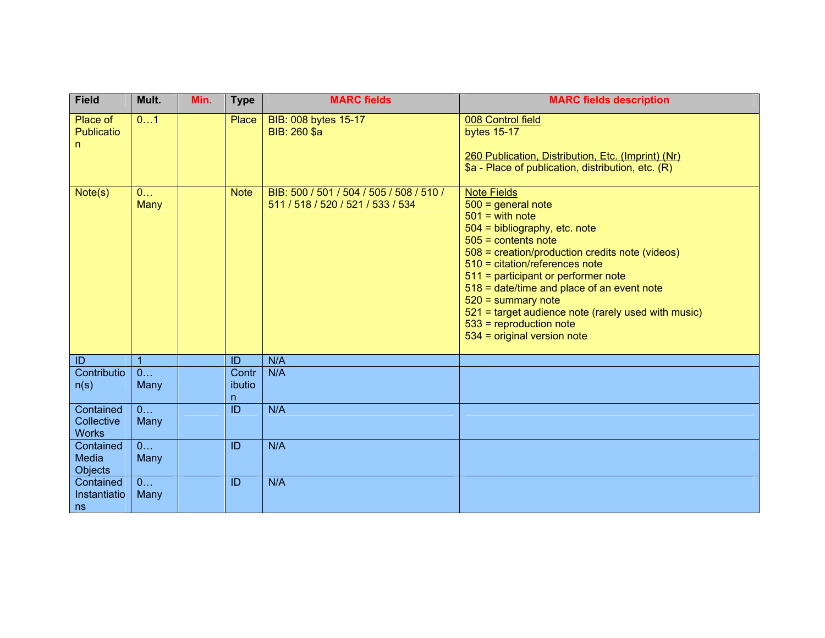| <b>Field</b>                                | Mult.                  | Min. | <b>Type</b>          | <b>MARC fields</b>                                                            | <b>MARC fields description</b>                                                                                                                                                                                                                                                                                                                                                                                                                   |
|---------------------------------------------|------------------------|------|----------------------|-------------------------------------------------------------------------------|--------------------------------------------------------------------------------------------------------------------------------------------------------------------------------------------------------------------------------------------------------------------------------------------------------------------------------------------------------------------------------------------------------------------------------------------------|
| Place of<br><b>Publicatio</b><br>n          | 01                     |      | Place                | BIB: 008 bytes 15-17<br>BIB: 260 \$a                                          | 008 Control field<br><b>bytes 15-17</b><br>260 Publication, Distribution, Etc. (Imprint) (Nr)<br>\$a - Place of publication, distribution, etc. (R)                                                                                                                                                                                                                                                                                              |
| Note(s)                                     | 0<br>Many              |      | <b>Note</b>          | BIB: 500 / 501 / 504 / 505 / 508 / 510 /<br>511 / 518 / 520 / 521 / 533 / 534 | <b>Note Fields</b><br>$500 =$ general note<br>$501 =$ with note<br>$504$ = bibliography, etc. note<br>$505$ = contents note<br>508 = creation/production credits note (videos)<br>510 = citation/references note<br>511 = participant or performer note<br>518 = date/time and place of an event note<br>$520 =$ summary note<br>521 = target audience note (rarely used with music)<br>$533$ = reproduction note<br>534 = original version note |
| ID                                          | $\overline{1}$         |      | ID                   | N/A                                                                           |                                                                                                                                                                                                                                                                                                                                                                                                                                                  |
| Contributio<br>n(s)                         | $\overline{0}$<br>Many |      | Contr<br>ibutio<br>n | N/A                                                                           |                                                                                                                                                                                                                                                                                                                                                                                                                                                  |
| Contained<br>Collective<br><b>Works</b>     | 0<br>Many              |      | ID                   | N/A                                                                           |                                                                                                                                                                                                                                                                                                                                                                                                                                                  |
| Contained<br><b>Media</b><br><b>Objects</b> | 0<br>Many              |      | ID                   | N/A                                                                           |                                                                                                                                                                                                                                                                                                                                                                                                                                                  |
| Contained<br>Instantiatio<br>ns             | 0<br>Many              |      | ID                   | N/A                                                                           |                                                                                                                                                                                                                                                                                                                                                                                                                                                  |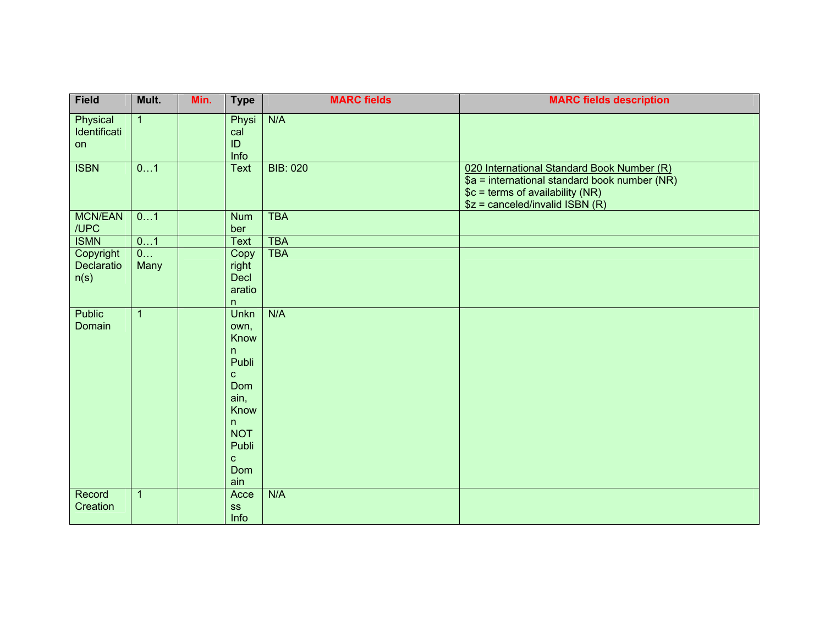| <b>Field</b>                    | Mult.          | Min. | <b>Type</b>                                                                                                                         | <b>MARC fields</b> | <b>MARC fields description</b>                                                                                                                                      |
|---------------------------------|----------------|------|-------------------------------------------------------------------------------------------------------------------------------------|--------------------|---------------------------------------------------------------------------------------------------------------------------------------------------------------------|
| Physical<br>Identificati<br>on  | $\overline{1}$ |      | Physi<br>cal<br>ID<br>Info                                                                                                          | N/A                |                                                                                                                                                                     |
| <b>ISBN</b>                     | 01             |      | <b>Text</b>                                                                                                                         | <b>BIB: 020</b>    | 020 International Standard Book Number (R)<br>$a =$ international standard book number (NR)<br>$c = terms of availability (NR)$<br>$$z = canceled/invalid ISBN (R)$ |
| <b>MCN/EAN</b><br>/UPC          | 01             |      | <b>Num</b><br>ber                                                                                                                   | <b>TBA</b>         |                                                                                                                                                                     |
| <b>ISMN</b>                     | 01             |      | <b>Text</b>                                                                                                                         | <b>TBA</b>         |                                                                                                                                                                     |
| Copyright<br>Declaratio<br>n(s) | 0<br>Many      |      | Copy<br>right<br><b>Decl</b><br>aratio<br>n                                                                                         | <b>TBA</b>         |                                                                                                                                                                     |
| Public<br>Domain                | $\mathbf{1}$   |      | Unkn<br>own,<br>Know<br>n<br>Publi<br>$\mathbf{C}$<br>Dom<br>ain,<br>Know<br>n<br><b>NOT</b><br>Publi<br>$\mathbf{C}$<br>Dom<br>ain | N/A                |                                                                                                                                                                     |
| Record<br>Creation              | $\overline{1}$ |      | Acce<br><b>SS</b><br>Info                                                                                                           | N/A                |                                                                                                                                                                     |